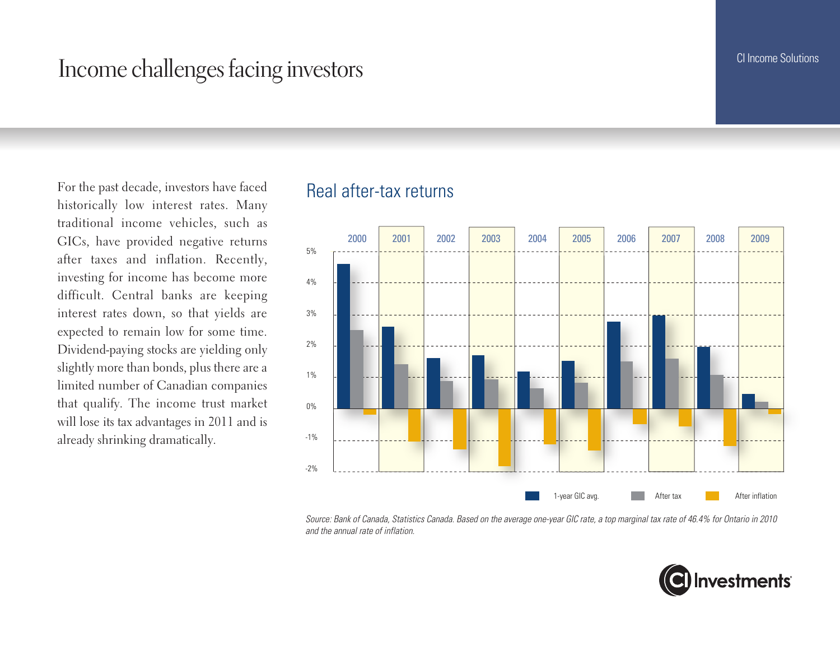## Income challenges facing investors

For the past decade, investors have faced historically low interest rates. Many traditional income vehicles, such as GICs, have provided negative returns after taxes and inflation. Recently, investing for income has become more difficult. Central banks are keeping interest rates down, so that yields are expected to remain low for some time. Dividend-paying stocks are yielding only slightly more than bonds, plus there are a limited number of Canadian companies that qualify. The income trust market will lose its tax advantages in 2011 and is already shrinking dramatically.

#### Real after-tax returns



*Source: Bank of Canada, Statistics Canada. Based on the average one-year GIC rate, a top marginal tax rate of 46.4% for Ontario in 2010 and the annual rate of inflation.*